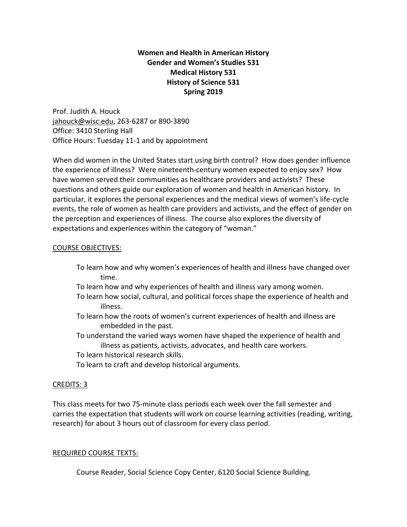# **Women and Health in American History Gender and Women's Studies 531 Medical History 531 History of Science 531 Spring 2019**

Prof. Judith A. Houck jahouck@wisc.edu, 263‐6287 or 890‐3890 Office: 3410 Sterling Hall Office Hours: Tuesday 11‐1 and by appointment

When did women in the United States start using birth control? How does gender influence the experience of illness? Were nineteenth‐century women expected to enjoy sex? How have women served their communities as healthcare providers and activists? These questions and others guide our exploration of women and health in American history. In particular, it explores the personal experiences and the medical views of women's life‐cycle events, the role of women as health care providers and activists, and the effect of gender on the perception and experiences of illness. The course also explores the diversity of expectations and experiences within the category of "woman."

# COURSE OBJECTIVES:

- To learn how and why women's experiences of health and illness have changed over time.
- To learn how and why experiences of health and illness vary among women.
- To learn how social, cultural, and political forces shape the experience of health and illness.
- To learn how the roots of women's current experiences of health and illness are embedded in the past.
- To understand the varied ways women have shaped the experience of health and illness as patients, activists, advocates, and health care workers.
- To learn historical research skills.
- To learn to craft and develop historical arguments.

# CREDITS: 3

This class meets for two 75‐minute class periods each week over the fall semester and carries the expectation that students will work on course learning activities (reading, writing, research) for about 3 hours out of classroom for every class period.

# REQUIRED COURSE TEXTS:

Course Reader, Social Science Copy Center, 6120 Social Science Building.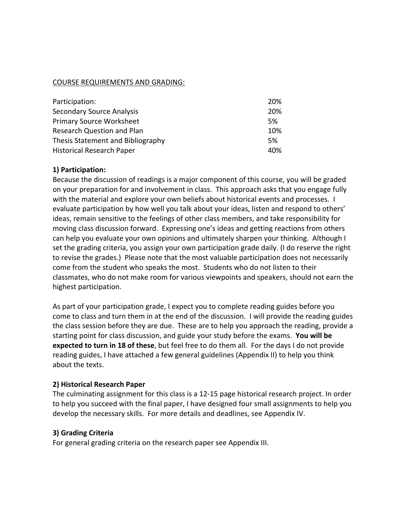# COURSE REQUIREMENTS AND GRADING:

| Participation:                    | <b>20%</b> |
|-----------------------------------|------------|
| <b>Secondary Source Analysis</b>  | 20%        |
| <b>Primary Source Worksheet</b>   | .5%        |
| <b>Research Question and Plan</b> | 10%        |
| Thesis Statement and Bibliography | .5%        |
| <b>Historical Research Paper</b>  | 40%        |

# **1) Participation:**

Because the discussion of readings is a major component of this course, you will be graded on your preparation for and involvement in class. This approach asks that you engage fully with the material and explore your own beliefs about historical events and processes. I evaluate participation by how well you talk about your ideas, listen and respond to others' ideas, remain sensitive to the feelings of other class members, and take responsibility for moving class discussion forward. Expressing one's ideas and getting reactions from others can help you evaluate your own opinions and ultimately sharpen your thinking.Although I set the grading criteria, you assign your own participation grade daily. (I do reserve the right to revise the grades.) Please note that the most valuable participation does not necessarily come from the student who speaks the most. Students who do not listen to their classmates, who do not make room for various viewpoints and speakers, should not earn the highest participation.

As part of your participation grade, I expect you to complete reading guides before you come to class and turn them in at the end of the discussion. I will provide the reading guides the class session before they are due. These are to help you approach the reading, provide a starting point for class discussion, and guide your study before the exams. **You will be expected to turn in 18 of these**, but feel free to do them all. For the days I do not provide reading guides, I have attached a few general guidelines (Appendix II) to help you think about the texts.

### **2) Historical Research Paper**

The culminating assignment for this class is a 12‐15 page historical research project. In order to help you succeed with the final paper, I have designed four small assignments to help you develop the necessary skills. For more details and deadlines, see Appendix IV.

### **3) Grading Criteria**

For general grading criteria on the research paper see Appendix III.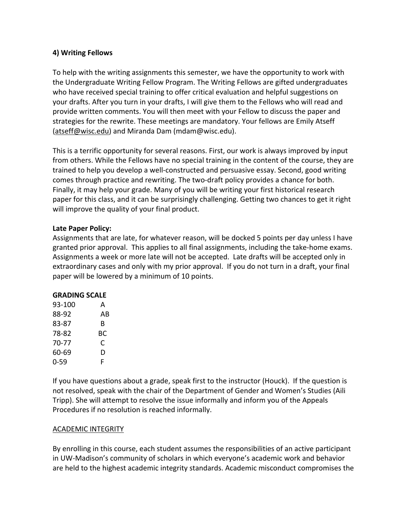## **4) Writing Fellows**

To help with the writing assignments this semester, we have the opportunity to work with the Undergraduate Writing Fellow Program. The Writing Fellows are gifted undergraduates who have received special training to offer critical evaluation and helpful suggestions on your drafts. After you turn in your drafts, I will give them to the Fellows who will read and provide written comments. You will then meet with your Fellow to discuss the paper and strategies for the rewrite. These meetings are mandatory. Your fellows are Emily Atseff (atseff@wisc.edu) and Miranda Dam (mdam@wisc.edu).

This is a terrific opportunity for several reasons. First, our work is always improved by input from others. While the Fellows have no special training in the content of the course, they are trained to help you develop a well‐constructed and persuasive essay. Second, good writing comes through practice and rewriting. The two-draft policy provides a chance for both. Finally, it may help your grade. Many of you will be writing your first historical research paper for this class, and it can be surprisingly challenging. Getting two chances to get it right will improve the quality of your final product.

# **Late Paper Policy:**

Assignments that are late, for whatever reason, will be docked 5 points per day unless I have granted prior approval. This applies to all final assignments, including the take‐home exams. Assignments a week or more late will not be accepted. Late drafts will be accepted only in extraordinary cases and only with my prior approval. If you do not turn in a draft, your final paper will be lowered by a minimum of 10 points.

### **GRADING SCALE**

| 93-100 | А  |
|--------|----|
| 88-92  | AB |
| 83-87  | R  |
| 78-82  | BС |
| 70-77  | C  |
| 60-69  | D  |
| 0-59   | F  |

If you have questions about a grade, speak first to the instructor (Houck). If the question is not resolved, speak with the chair of the Department of Gender and Women's Studies (Aili Tripp). She will attempt to resolve the issue informally and inform you of the Appeals Procedures if no resolution is reached informally.

### ACADEMIC INTEGRITY

By enrolling in this course, each student assumes the responsibilities of an active participant in UW‐Madison's community of scholars in which everyone's academic work and behavior are held to the highest academic integrity standards. Academic misconduct compromises the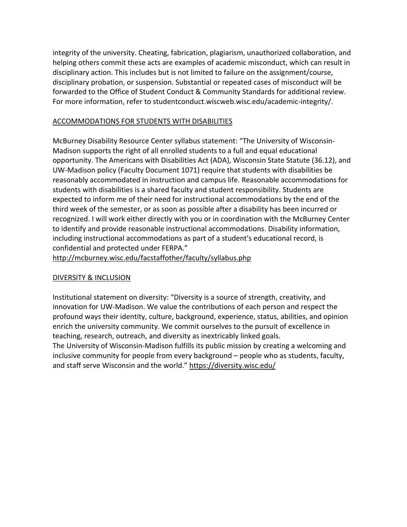integrity of the university. Cheating, fabrication, plagiarism, unauthorized collaboration, and helping others commit these acts are examples of academic misconduct, which can result in disciplinary action. This includes but is not limited to failure on the assignment/course, disciplinary probation, or suspension. Substantial or repeated cases of misconduct will be forwarded to the Office of Student Conduct & Community Standards for additional review. For more information, refer to studentconduct.wiscweb.wisc.edu/academic-integrity/.

### ACCOMMODATIONS FOR STUDENTS WITH DISABILITIES

McBurney Disability Resource Center syllabus statement: "The University of Wisconsin‐ Madison supports the right of all enrolled students to a full and equal educational opportunity. The Americans with Disabilities Act (ADA), Wisconsin State Statute (36.12), and UW‐Madison policy (Faculty Document 1071) require that students with disabilities be reasonably accommodated in instruction and campus life. Reasonable accommodations for students with disabilities is a shared faculty and student responsibility. Students are expected to inform me of their need for instructional accommodations by the end of the third week of the semester, or as soon as possible after a disability has been incurred or recognized. I will work either directly with you or in coordination with the McBurney Center to identify and provide reasonable instructional accommodations. Disability information, including instructional accommodations as part of a student's educational record, is confidential and protected under FERPA."

http://mcburney.wisc.edu/facstaffother/faculty/syllabus.php

# DIVERSITY & INCLUSION

Institutional statement on diversity: "Diversity is a source of strength, creativity, and innovation for UW‐Madison. We value the contributions of each person and respect the profound ways their identity, culture, background, experience, status, abilities, and opinion enrich the university community. We commit ourselves to the pursuit of excellence in teaching, research, outreach, and diversity as inextricably linked goals.

The University of Wisconsin‐Madison fulfills its public mission by creating a welcoming and inclusive community for people from every background – people who as students, faculty, and staff serve Wisconsin and the world." https://diversity.wisc.edu/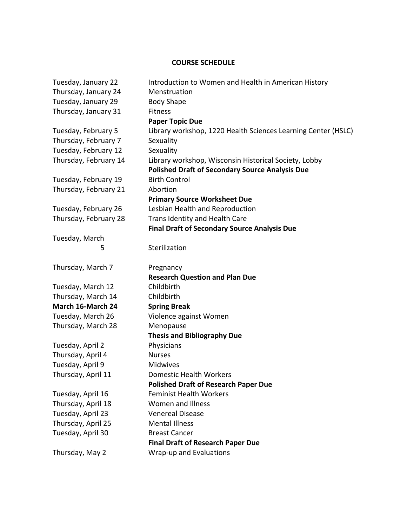# **COURSE SCHEDULE**

| Tuesday, January 22   | Introduction to Women and Health in American History          |
|-----------------------|---------------------------------------------------------------|
| Thursday, January 24  | Menstruation                                                  |
| Tuesday, January 29   | <b>Body Shape</b>                                             |
| Thursday, January 31  | Fitness                                                       |
|                       | <b>Paper Topic Due</b>                                        |
| Tuesday, February 5   | Library workshop, 1220 Health Sciences Learning Center (HSLC) |
| Thursday, February 7  | Sexuality                                                     |
| Tuesday, February 12  | Sexuality                                                     |
| Thursday, February 14 | Library workshop, Wisconsin Historical Society, Lobby         |
|                       | <b>Polished Draft of Secondary Source Analysis Due</b>        |
| Tuesday, February 19  | <b>Birth Control</b>                                          |
| Thursday, February 21 | Abortion                                                      |
|                       | <b>Primary Source Worksheet Due</b>                           |
| Tuesday, February 26  | Lesbian Health and Reproduction                               |
| Thursday, February 28 | Trans Identity and Health Care                                |
|                       | <b>Final Draft of Secondary Source Analysis Due</b>           |
| Tuesday, March        |                                                               |
| 5                     | Sterilization                                                 |
|                       |                                                               |
| Thursday, March 7     | Pregnancy                                                     |
|                       | <b>Research Question and Plan Due</b>                         |
| Tuesday, March 12     | Childbirth                                                    |
| Thursday, March 14    | Childbirth                                                    |
| March 16-March 24     | <b>Spring Break</b>                                           |
| Tuesday, March 26     | Violence against Women                                        |
| Thursday, March 28    | Menopause                                                     |
|                       | <b>Thesis and Bibliography Due</b>                            |
| Tuesday, April 2      | Physicians                                                    |
| Thursday, April 4     | <b>Nurses</b>                                                 |
| Tuesday, April 9      | Midwives                                                      |
| Thursday, April 11    | Domestic Health Workers                                       |
|                       | <b>Polished Draft of Research Paper Due</b>                   |
| Tuesday, April 16     | <b>Feminist Health Workers</b>                                |
| Thursday, April 18    | <b>Women and Illness</b>                                      |
| Tuesday, April 23     | <b>Venereal Disease</b>                                       |
| Thursday, April 25    | <b>Mental Illness</b>                                         |
| Tuesday, April 30     | <b>Breast Cancer</b>                                          |
|                       | <b>Final Draft of Research Paper Due</b>                      |
| Thursday, May 2       | Wrap-up and Evaluations                                       |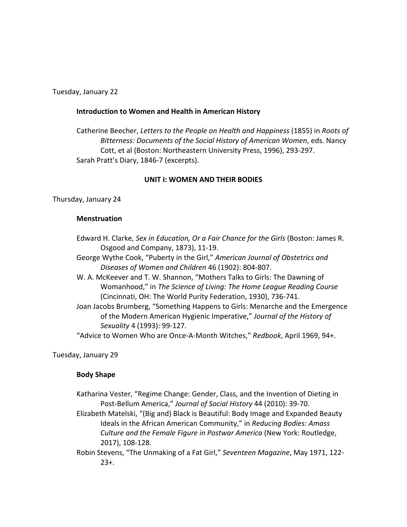Tuesday, January 22

#### **Introduction to Women and Health in American History**

Catherine Beecher, *Letters to the People on Health and Happiness* (1855) in *Roots of Bitterness: Documents of the Social History of American Women*, eds. Nancy Cott, et al (Boston: Northeastern University Press, 1996), 293‐297. Sarah Pratt's Diary, 1846‐7 (excerpts).

#### **UNIT I: WOMEN AND THEIR BODIES**

Thursday, January 24

#### **Menstruation**

- Edward H. Clarke, *Sex in Education, Or a Fair Chance for the Girls* (Boston: James R. Osgood and Company, 1873), 11‐19.
- George Wythe Cook, "Puberty in the Girl," *American Journal of Obstetrics and Diseases of Women and Children* 46 (1902): 804‐807.
- W. A. McKeever and T. W. Shannon, "Mothers Talks to Girls: The Dawning of Womanhood," in *The Science of Living: The Home League Reading Course* (Cincinnati, OH: The World Purity Federation, 1930), 736‐741.
- Joan Jacobs Brumberg, "Something Happens to Girls: Menarche and the Emergence of the Modern American Hygienic Imperative," *Journal of the History of Sexuality* 4 (1993): 99‐127.

"Advice to Women Who are Once‐A‐Month Witches," *Redbook*, April 1969, 94+.

Tuesday, January 29

### **Body Shape**

 Katharina Vester, "Regime Change: Gender, Class, and the Invention of Dieting in Post‐Bellum America," *Journal of Social History* 44 (2010): 39‐70.

 Elizabeth Matelski, "(Big and) Black is Beautiful: Body Image and Expanded Beauty Ideals in the African American Community," in *Reducing Bodies: Amass Culture and the Female Figure in Postwar America* (New York: Routledge, 2017), 108‐128.

Robin Stevens, "The Unmaking of a Fat Girl," *Seventeen Magazine*, May 1971, 122‐  $23+$ .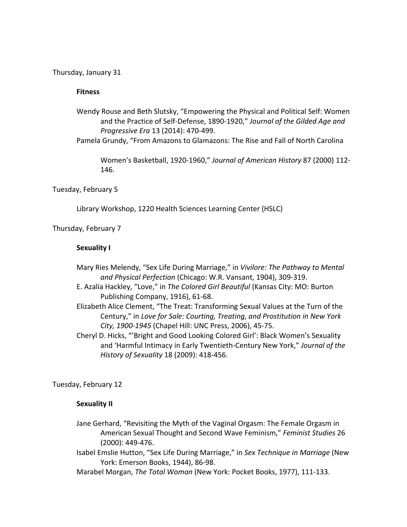Thursday, January 31

#### **Fitness**

- Wendy Rouse and Beth Slutsky, "Empowering the Physical and Political Self: Women and the Practice of Self‐Defense, 1890‐1920," *Journal of the Gilded Age and Progressive Era* 13 (2014): 470‐499.
- Pamela Grundy, "From Amazons to Glamazons: The Rise and Fall of North Carolina

 Women's Basketball, 1920‐1960," *Journal of American History* 87 (2000) 112‐ 146.

#### Tuesday, February 5

Library Workshop, 1220 Health Sciences Learning Center (HSLC)

Thursday, February 7

#### **Sexuality I**

- Mary Ries Melendy, "Sex Life During Marriage," in *Vivilore: The Pathway to Mental and Physical Perfection* (Chicago: W.R. Vansant, 1904), 309‐319.
- E. Azalia Hackley, "Love," in *The Colored Girl Beautiful* (Kansas City: MO: Burton Publishing Company, 1916), 61‐68.
- Elizabeth Alice Clement, "The Treat: Transforming Sexual Values at the Turn of the Century," in *Love for Sale: Courting, Treating, and Prostitution in New York City, 1900‐1945* (Chapel Hill: UNC Press, 2006), 45‐75.
- Cheryl D. Hicks, "'Bright and Good Looking Colored Girl': Black Women's Sexuality and 'Harmful Intimacy in Early Twentieth‐Century New York," *Journal of the History of Sexuality* 18 (2009): 418‐456.

Tuesday, February 12

#### **Sexuality II**

- Jane Gerhard, "Revisiting the Myth of the Vaginal Orgasm: The Female Orgasm in American Sexual Thought and Second Wave Feminism," *Feminist Studies* 26 (2000): 449‐476.
- Isabel Emslie Hutton, "Sex Life During Marriage," in *Sex Technique in Marriage* (New York: Emerson Books, 1944), 86‐98.
- Marabel Morgan, *The Total Woman* (New York: Pocket Books, 1977), 111‐133.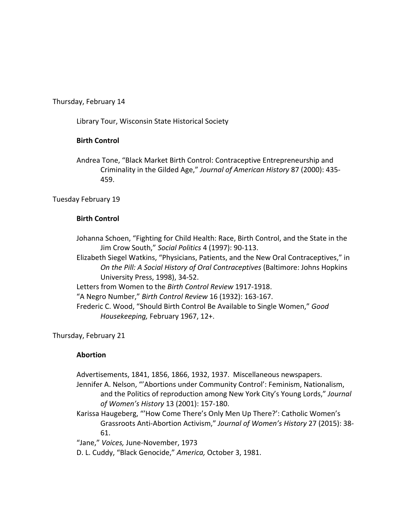Thursday, February 14

Library Tour, Wisconsin State Historical Society

# **Birth Control**

Andrea Tone, "Black Market Birth Control: Contraceptive Entrepreneurship and Criminality in the Gilded Age," *Journal of American History* 87 (2000): 435‐ 459.

Tuesday February 19

# **Birth Control**

Johanna Schoen, "Fighting for Child Health: Race, Birth Control, and the State in the Jim Crow South," *Social Politics* 4 (1997): 90‐113.

Elizabeth Siegel Watkins, "Physicians, Patients, and the New Oral Contraceptives," in *On the Pill: A Social History of Oral Contraceptives* (Baltimore: Johns Hopkins University Press, 1998), 34‐52.

Letters from Women to the *Birth Control Review* 1917‐1918.

"A Negro Number," *Birth Control Review* 16 (1932): 163‐167.

 Frederic C. Wood, "Should Birth Control Be Available to Single Women," *Good Housekeeping,* February 1967, 12+.

Thursday, February 21

# **Abortion**

Advertisements, 1841, 1856, 1866, 1932, 1937. Miscellaneous newspapers.

 Jennifer A. Nelson, "'Abortions under Community Control': Feminism, Nationalism, and the Politics of reproduction among New York City's Young Lords," *Journal of Women's History* 13 (2001): 157‐180.

 Karissa Haugeberg, "'How Come There's Only Men Up There?': Catholic Women's Grassroots Anti‐Abortion Activism," *Journal of Women's History* 27 (2015): 38‐ 61.

"Jane," *Voices,* June‐November, 1973

D. L. Cuddy, "Black Genocide," *America,* October 3, 1981.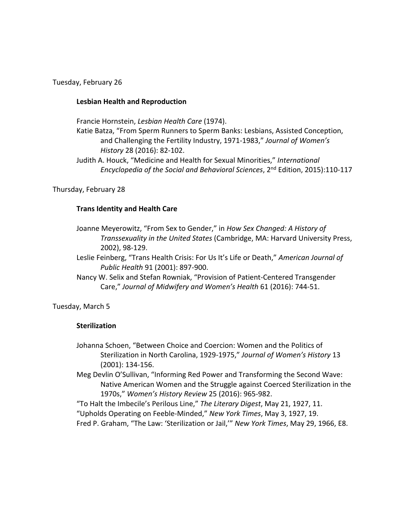Tuesday, February 26

#### **Lesbian Health and Reproduction**

Francie Hornstein, *Lesbian Health Care* (1974).

Katie Batza, "From Sperm Runners to Sperm Banks: Lesbians, Assisted Conception, and Challenging the Fertility Industry, 1971‐1983," *Journal of Women's History* 28 (2016): 82‐102.

Judith A. Houck, "Medicine and Health for Sexual Minorities," *International Encyclopedia of the Social and Behavioral Sciences*, 2nd Edition, 2015):110‐117

Thursday, February 28

#### **Trans Identity and Health Care**

- Joanne Meyerowitz, "From Sex to Gender," in *How Sex Changed: A History of Transsexuality in the United States* (Cambridge, MA: Harvard University Press, 2002), 98‐129.
- Leslie Feinberg, "Trans Health Crisis: For Us It's Life or Death," *American Journal of Public Health* 91 (2001): 897‐900.
- Nancy W. Selix and Stefan Rowniak, "Provision of Patient‐Centered Transgender Care," *Journal of Midwifery and Women's Health* 61 (2016): 744‐51.

Tuesday, March 5

### **Sterilization**

- Johanna Schoen, "Between Choice and Coercion: Women and the Politics of Sterilization in North Carolina, 1929‐1975," *Journal of Women's History* 13 (2001): 134‐156.
- Meg Devlin O'Sullivan, "Informing Red Power and Transforming the Second Wave: Native American Women and the Struggle against Coerced Sterilization in the 1970s," *Women's History Review* 25 (2016): 965‐982.

"To Halt the Imbecile's Perilous Line," *The Literary Digest*, May 21, 1927, 11.

"Upholds Operating on Feeble‐Minded," *New York Times*, May 3, 1927, 19.

Fred P. Graham, "The Law: 'Sterilization or Jail,'" *New York Times*, May 29, 1966, E8.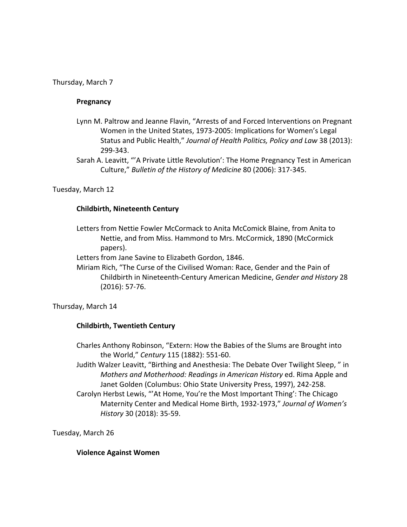#### Thursday, March 7

#### **Pregnancy**

- Lynn M. Paltrow and Jeanne Flavin, "Arrests of and Forced Interventions on Pregnant Women in the United States, 1973‐2005: Implications for Women's Legal Status and Public Health," *Journal of Health Politics, Policy and Law* 38 (2013): 299‐343.
- Sarah A. Leavitt, "'A Private Little Revolution': The Home Pregnancy Test in American Culture," *Bulletin of the History of Medicine* 80 (2006): 317‐345.

Tuesday, March 12

#### **Childbirth, Nineteenth Century**

Letters from Nettie Fowler McCormack to Anita McComick Blaine, from Anita to Nettie, and from Miss. Hammond to Mrs. McCormick, 1890 (McCormick papers).

Letters from Jane Savine to Elizabeth Gordon, 1846.

 Miriam Rich, "The Curse of the Civilised Woman: Race, Gender and the Pain of Childbirth in Nineteenth‐Century American Medicine, *Gender and History* 28 (2016): 57‐76.

Thursday, March 14

### **Childbirth, Twentieth Century**

- Charles Anthony Robinson, "Extern: How the Babies of the Slums are Brought into the World," *Century* 115 (1882): 551‐60.
- Judith Walzer Leavitt, "Birthing and Anesthesia: The Debate Over Twilight Sleep, " in *Mothers and Motherhood: Readings in American History* ed. Rima Apple and Janet Golden (Columbus: Ohio State University Press, 1997), 242‐258.
- Carolyn Herbst Lewis, "'At Home, You're the Most Important Thing': The Chicago Maternity Center and Medical Home Birth, 1932‐1973," *Journal of Women's History* 30 (2018): 35‐59.

Tuesday, March 26

#### **Violence Against Women**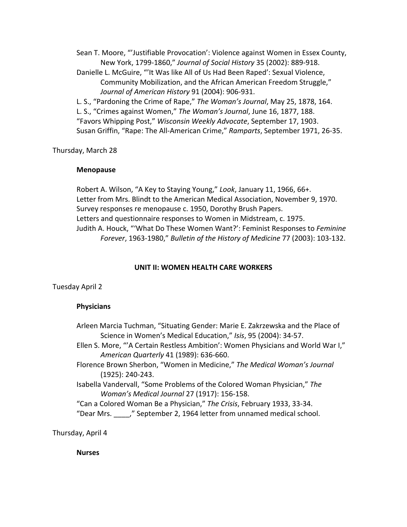Sean T. Moore, "'Justifiable Provocation': Violence against Women in Essex County, New York, 1799‐1860," *Journal of Social History* 35 (2002): 889‐918. Danielle L. McGuire, "'It Was like All of Us Had Been Raped': Sexual Violence, Community Mobilization, and the African American Freedom Struggle," *Journal of American History* 91 (2004): 906‐931. L. S., "Pardoning the Crime of Rape," *The Woman's Journal*, May 25, 1878, 164. L. S., "Crimes against Women," *The Woman's Journal*, June 16, 1877, 188. "Favors Whipping Post," *Wisconsin Weekly Advocate*, September 17, 1903. Susan Griffin, "Rape: The All‐American Crime," *Ramparts*, September 1971, 26‐35.

Thursday, March 28

### **Menopause**

 Robert A. Wilson, "A Key to Staying Young," *Look*, January 11, 1966, 66+. Letter from Mrs. Blindt to the American Medical Association, November 9, 1970. Survey responses re menopause c. 1950, Dorothy Brush Papers. Letters and questionnaire responses to Women in Midstream, c. 1975. Judith A. Houck, "'What Do These Women Want?': Feminist Responses to *Feminine Forever*, 1963‐1980," *Bulletin of the History of Medicine* 77 (2003): 103‐132.

### **UNIT II: WOMEN HEALTH CARE WORKERS**

Tuesday April 2

### **Physicians**

| Arleen Marcia Tuchman, "Situating Gender: Marie E. Zakrzewska and the Place of    |
|-----------------------------------------------------------------------------------|
| Science in Women's Medical Education," Isis, 95 (2004): 34-57.                    |
| Ellen S. More, "'A Certain Restless Ambition': Women Physicians and World War I," |
| American Quarterly 41 (1989): 636-660.                                            |
| Florence Brown Sherbon, "Women in Medicine," The Medical Woman's Journal          |
| $(1925): 240-243.$                                                                |
| Isabella Vandervall, "Some Problems of the Colored Woman Physician," The          |
| Woman's Medical Journal 27 (1917): 156-158.                                       |
| "Can a Colored Woman Be a Physician," The Crisis, February 1933, 33-34.           |
| "Dear Mrs. "September 2, 1964 letter from unnamed medical school.                 |
|                                                                                   |

Thursday, April 4

 **Nurses**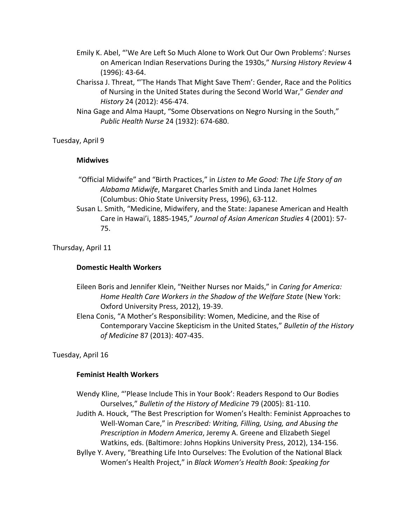- Emily K. Abel, "'We Are Left So Much Alone to Work Out Our Own Problems': Nurses on American Indian Reservations During the 1930s," *Nursing History Review* 4 (1996): 43‐64.
- Charissa J. Threat, "'The Hands That Might Save Them': Gender, Race and the Politics of Nursing in the United States during the Second World War," *Gender and History* 24 (2012): 456‐474.
- Nina Gage and Alma Haupt, "Some Observations on Negro Nursing in the South," *Public Health Nurse* 24 (1932): 674‐680.

Tuesday, April 9

#### **Midwives**

- "Official Midwife" and "Birth Practices," in *Listen to Me Good: The Life Story of an Alabama Midwife*, Margaret Charles Smith and Linda Janet Holmes (Columbus: Ohio State University Press, 1996), 63‐112.
- Susan L. Smith, "Medicine, Midwifery, and the State: Japanese American and Health Care in Hawai'i, 1885‐1945," *Journal of Asian American Studies* 4 (2001): 57‐ 75.

Thursday, April 11

### **Domestic Health Workers**

- Eileen Boris and Jennifer Klein, "Neither Nurses nor Maids," in *Caring for America: Home Health Care Workers in the Shadow of the Welfare State* (New York: Oxford University Press, 2012), 19‐39.
- Elena Conis, "A Mother's Responsibility: Women, Medicine, and the Rise of Contemporary Vaccine Skepticism in the United States," *Bulletin of the History of Medicine* 87 (2013): 407‐435.

Tuesday, April 16

### **Feminist Health Workers**

Wendy Kline, "'Please Include This in Your Book': Readers Respond to Our Bodies Ourselves," *Bulletin of the History of Medicine* 79 (2005): 81‐110. Judith A. Houck, "The Best Prescription for Women's Health: Feminist Approaches to

Well‐Woman Care," in *Prescribed: Writing, Filling, Using, and Abusing the Prescription in Modern America*, Jeremy A. Greene and Elizabeth Siegel Watkins, eds. (Baltimore: Johns Hopkins University Press, 2012), 134‐156.

Byllye Y. Avery, "Breathing Life Into Ourselves: The Evolution of the National Black Women's Health Project," in *Black Women's Health Book: Speaking for*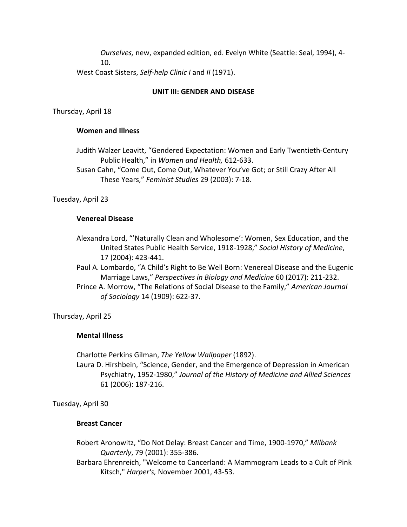*Ourselves,* new, expanded edition, ed. Evelyn White (Seattle: Seal, 1994), 4‐ 10. West Coast Sisters, *Self‐help Clinic I* and *II* (1971).

#### **UNIT III: GENDER AND DISEASE**

Thursday, April 18

#### **Women and Illness**

 Judith Walzer Leavitt, "Gendered Expectation: Women and Early Twentieth‐Century Public Health," in *Women and Health,* 612‐633.

 Susan Cahn, "Come Out, Come Out, Whatever You've Got; or Still Crazy After All These Years," *Feminist Studies* 29 (2003): 7‐18.

Tuesday, April 23

#### **Venereal Disease**

Alexandra Lord, "'Naturally Clean and Wholesome': Women, Sex Education, and the United States Public Health Service, 1918‐1928," *Social History of Medicine*, 17 (2004): 423‐441.

Paul A. Lombardo, "A Child's Right to Be Well Born: Venereal Disease and the Eugenic Marriage Laws," *Perspectives in Biology and Medicine* 60 (2017): 211‐232.

Prince A. Morrow, "The Relations of Social Disease to the Family," *American Journal of Sociology* 14 (1909): 622‐37.

Thursday, April 25

#### **Mental Illness**

Charlotte Perkins Gilman, *The Yellow Wallpaper* (1892).

 Laura D. Hirshbein, "Science, Gender, and the Emergence of Depression in American Psychiatry, 1952‐1980," *Journal of the History of Medicine and Allied Sciences* 61 (2006): 187‐216.

Tuesday, April 30

#### **Breast Cancer**

- Robert Aronowitz, "Do Not Delay: Breast Cancer and Time, 1900‐1970," *Milbank Quarterly*, 79 (2001): 355‐386.
- Barbara Ehrenreich, "Welcome to Cancerland: A Mammogram Leads to a Cult of Pink Kitsch," *Harper's,* November 2001, 43‐53.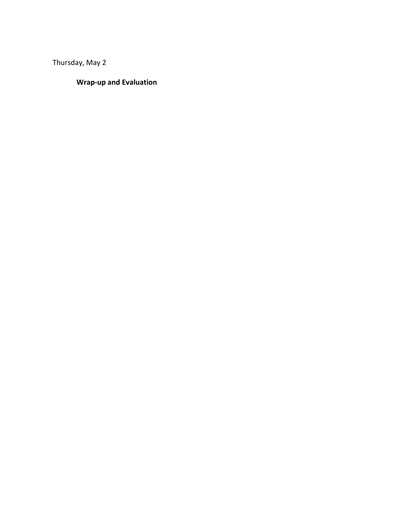Thursday, May 2

# **Wrap‐up and Evaluation**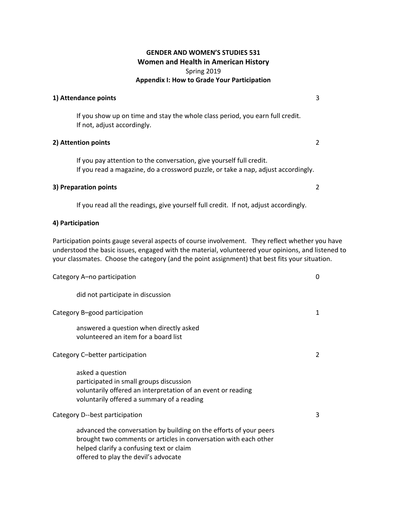#### **GENDER AND WOMEN'S STUDIES 531 Women and Health in American History**  Spring 2019 **Appendix I: How to Grade Your Participation**

#### **1) Attendance points** 3

 If you show up on time and stay the whole class period, you earn full credit. If not, adjust accordingly.

#### **2) Attention points** 2

 If you pay attention to the conversation, give yourself full credit. If you read a magazine, do a crossword puzzle, or take a nap, adjust accordingly.

### **3) Preparation points** 2

If you read all the readings, give yourself full credit. If not, adjust accordingly.

#### **4) Participation**

Participation points gauge several aspects of course involvement. They reflect whether you have understood the basic issues, engaged with the material, volunteered your opinions, and listened to your classmates. Choose the category (and the point assignment) that best fits your situation.

| Category A-no participation                                                                                                                                                                                                | 0 |  |
|----------------------------------------------------------------------------------------------------------------------------------------------------------------------------------------------------------------------------|---|--|
| did not participate in discussion                                                                                                                                                                                          |   |  |
| Category B-good participation                                                                                                                                                                                              | 1 |  |
| answered a question when directly asked<br>volunteered an item for a board list                                                                                                                                            |   |  |
| Category C-better participation                                                                                                                                                                                            | 2 |  |
| asked a question<br>participated in small groups discussion<br>voluntarily offered an interpretation of an event or reading<br>voluntarily offered a summary of a reading                                                  |   |  |
| Category D--best participation                                                                                                                                                                                             | 3 |  |
| advanced the conversation by building on the efforts of your peers<br>brought two comments or articles in conversation with each other<br>helped clarify a confusing text or claim<br>offered to play the devil's advocate |   |  |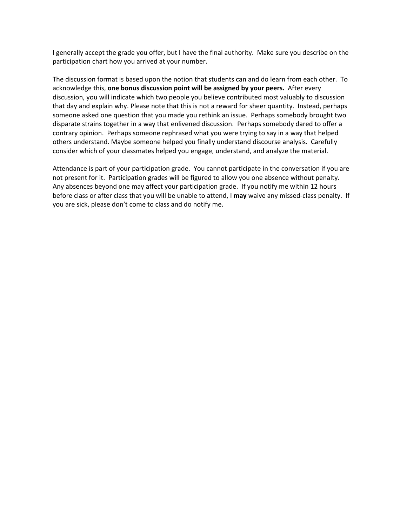I generally accept the grade you offer, but I have the final authority. Make sure you describe on the participation chart how you arrived at your number.

The discussion format is based upon the notion that students can and do learn from each other. To acknowledge this, **one bonus discussion point will be assigned by your peers.**  After every discussion, you will indicate which two people you believe contributed most valuably to discussion that day and explain why. Please note that this is not a reward for sheer quantity. Instead, perhaps someone asked one question that you made you rethink an issue. Perhaps somebody brought two disparate strains together in a way that enlivened discussion. Perhaps somebody dared to offer a contrary opinion. Perhaps someone rephrased what you were trying to say in a way that helped others understand. Maybe someone helped you finally understand discourse analysis. Carefully consider which of your classmates helped you engage, understand, and analyze the material.

Attendance is part of your participation grade. You cannot participate in the conversation if you are not present for it. Participation grades will be figured to allow you one absence without penalty. Any absences beyond one may affect your participation grade. If you notify me within 12 hours before class or after class that you will be unable to attend, I **may** waive any missed‐class penalty. If you are sick, please don't come to class and do notify me.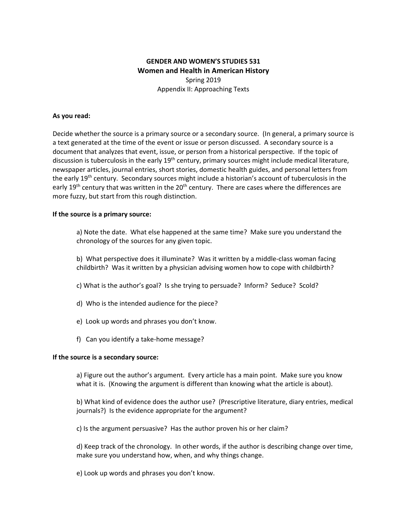# **GENDER AND WOMEN'S STUDIES 531 Women and Health in American History**  Spring 2019 Appendix II: Approaching Texts

#### **As you read:**

Decide whether the source is a primary source or a secondary source. (In general, a primary source is a text generated at the time of the event or issue or person discussed. A secondary source is a document that analyzes that event, issue, or person from a historical perspective. If the topic of discussion is tuberculosis in the early 19<sup>th</sup> century, primary sources might include medical literature, newspaper articles, journal entries, short stories, domestic health guides, and personal letters from the early 19<sup>th</sup> century. Secondary sources might include a historian's account of tuberculosis in the early 19<sup>th</sup> century that was written in the 20<sup>th</sup> century. There are cases where the differences are more fuzzy, but start from this rough distinction.

#### **If the source is a primary source:**

a) Note the date. What else happened at the same time? Make sure you understand the chronology of the sources for any given topic.

b) What perspective does it illuminate? Was it written by a middle-class woman facing childbirth? Was it written by a physician advising women how to cope with childbirth?

- c) What is the author's goal? Is she trying to persuade? Inform? Seduce? Scold?
- d) Who is the intended audience for the piece?
- e) Look up words and phrases you don't know.
- f) Can you identify a take-home message?

#### **If the source is a secondary source:**

a) Figure out the author's argument. Every article has a main point. Make sure you know what it is. (Knowing the argument is different than knowing what the article is about).

b) What kind of evidence does the author use? (Prescriptive literature, diary entries, medical journals?) Is the evidence appropriate for the argument?

c) Is the argument persuasive? Has the author proven his or her claim?

d) Keep track of the chronology. In other words, if the author is describing change over time, make sure you understand how, when, and why things change.

e) Look up words and phrases you don't know.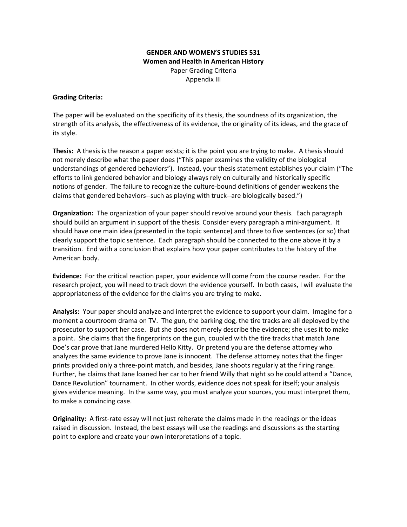#### **GENDER AND WOMEN'S STUDIES 531 Women and Health in American History**  Paper Grading Criteria Appendix III

#### **Grading Criteria:**

The paper will be evaluated on the specificity of its thesis, the soundness of its organization, the strength of its analysis, the effectiveness of its evidence, the originality of its ideas, and the grace of its style.

**Thesis:** A thesis is the reason a paper exists; it is the point you are trying to make. A thesis should not merely describe what the paper does ("This paper examines the validity of the biological understandings of gendered behaviors"). Instead, your thesis statement establishes your claim ("The efforts to link gendered behavior and biology always rely on culturally and historically specific notions of gender. The failure to recognize the culture‐bound definitions of gender weakens the claims that gendered behaviors‐‐such as playing with truck‐‐are biologically based.")

**Organization:** The organization of your paper should revolve around your thesis. Each paragraph should build an argument in support of the thesis. Consider every paragraph a mini‐argument. It should have one main idea (presented in the topic sentence) and three to five sentences (or so) that clearly support the topic sentence. Each paragraph should be connected to the one above it by a transition. End with a conclusion that explains how your paper contributes to the history of the American body.

**Evidence:** For the critical reaction paper, your evidence will come from the course reader. For the research project, you will need to track down the evidence yourself. In both cases, I will evaluate the appropriateness of the evidence for the claims you are trying to make.

**Analysis:** Your paper should analyze and interpret the evidence to support your claim. Imagine for a moment a courtroom drama on TV. The gun, the barking dog, the tire tracks are all deployed by the prosecutor to support her case. But she does not merely describe the evidence; she uses it to make a point. She claims that the fingerprints on the gun, coupled with the tire tracks that match Jane Doe's car prove that Jane murdered Hello Kitty. Or pretend you are the defense attorney who analyzes the same evidence to prove Jane is innocent. The defense attorney notes that the finger prints provided only a three‐point match, and besides, Jane shoots regularly at the firing range. Further, he claims that Jane loaned her car to her friend Willy that night so he could attend a "Dance, Dance Revolution" tournament. In other words, evidence does not speak for itself; your analysis gives evidence meaning. In the same way, you must analyze your sources, you must interpret them, to make a convincing case.

**Originality:** A first-rate essay will not just reiterate the claims made in the readings or the ideas raised in discussion. Instead, the best essays will use the readings and discussions as the starting point to explore and create your own interpretations of a topic.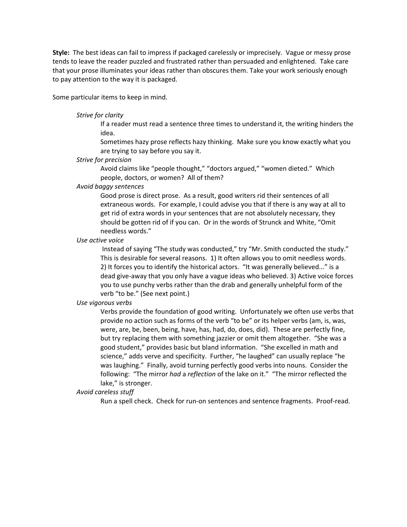**Style:** The best ideas can fail to impress if packaged carelessly or imprecisely. Vague or messy prose tends to leave the reader puzzled and frustrated rather than persuaded and enlightened. Take care that your prose illuminates your ideas rather than obscures them. Take your work seriously enough to pay attention to the way it is packaged.

Some particular items to keep in mind.

#### *Strive for clarity*

If a reader must read a sentence three times to understand it, the writing hinders the idea.

Sometimes hazy prose reflects hazy thinking. Make sure you know exactly what you are trying to say before you say it.

#### *Strive for precision*

Avoid claims like "people thought," "doctors argued," "women dieted." Which people, doctors, or women? All of them?

#### *Avoid baggy sentences*

Good prose is direct prose. As a result, good writers rid their sentences of all extraneous words. For example, I could advise you that if there is any way at all to get rid of extra words in your sentences that are not absolutely necessary, they should be gotten rid of if you can. Or in the words of Strunck and White, "Omit needless words."

#### *Use active voice*

 Instead of saying "The study was conducted," try "Mr. Smith conducted the study." This is desirable for several reasons. 1) It often allows you to omit needless words. 2) It forces you to identify the historical actors. "It was generally believed..." is a dead give‐away that you only have a vague ideas who believed. 3) Active voice forces you to use punchy verbs rather than the drab and generally unhelpful form of the verb "to be." (See next point.)

#### *Use vigorous verbs*

Verbs provide the foundation of good writing. Unfortunately we often use verbs that provide no action such as forms of the verb "to be" or its helper verbs (am, is, was, were, are, be, been, being, have, has, had, do, does, did). These are perfectly fine, but try replacing them with something jazzier or omit them altogether. "She was a good student," provides basic but bland information. "She excelled in math and science," adds verve and specificity. Further, "he laughed" can usually replace "he was laughing." Finally, avoid turning perfectly good verbs into nouns. Consider the following: "The mirror *had* a *reflection* of the lake on it." "The mirror reflected the lake," is stronger.

#### *Avoid careless stuff*

Run a spell check. Check for run‐on sentences and sentence fragments. Proof‐read.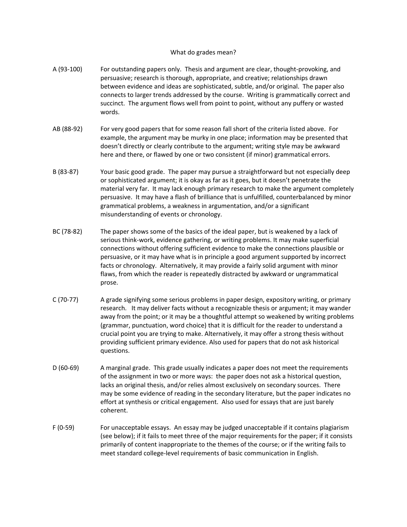#### What do grades mean?

- A (93‐100) For outstanding papers only. Thesis and argument are clear, thought‐provoking, and persuasive; research is thorough, appropriate, and creative; relationships drawn between evidence and ideas are sophisticated, subtle, and/or original. The paper also connects to larger trends addressed by the course. Writing is grammatically correct and succinct. The argument flows well from point to point, without any puffery or wasted words.
- AB (88-92) For very good papers that for some reason fall short of the criteria listed above. For example, the argument may be murky in one place; information may be presented that doesn't directly or clearly contribute to the argument; writing style may be awkward here and there, or flawed by one or two consistent (if minor) grammatical errors.
- B (83‐87) Your basic good grade. The paper may pursue a straightforward but not especially deep or sophisticated argument; it is okay as far as it goes, but it doesn't penetrate the material very far. It may lack enough primary research to make the argument completely persuasive. It may have a flash of brilliance that is unfulfilled, counterbalanced by minor grammatical problems, a weakness in argumentation, and/or a significant misunderstanding of events or chronology.
- BC (78-82) The paper shows some of the basics of the ideal paper, but is weakened by a lack of serious think‐work, evidence gathering, or writing problems. It may make superficial connections without offering sufficient evidence to make the connections plausible or persuasive, or it may have what is in principle a good argument supported by incorrect facts or chronology. Alternatively, it may provide a fairly solid argument with minor flaws, from which the reader is repeatedly distracted by awkward or ungrammatical prose.
- C (70-77) A grade signifying some serious problems in paper design, expository writing, or primary research. It may deliver facts without a recognizable thesis or argument; it may wander away from the point; or it may be a thoughtful attempt so weakened by writing problems (grammar, punctuation, word choice) that it is difficult for the reader to understand a crucial point you are trying to make. Alternatively, it may offer a strong thesis without providing sufficient primary evidence. Also used for papers that do not ask historical questions.
- D (60-69) A marginal grade. This grade usually indicates a paper does not meet the requirements of the assignment in two or more ways: the paper does not ask a historical question, lacks an original thesis, and/or relies almost exclusively on secondary sources. There may be some evidence of reading in the secondary literature, but the paper indicates no effort at synthesis or critical engagement. Also used for essays that are just barely coherent.
- F (0-59) For unacceptable essays. An essay may be judged unacceptable if it contains plagiarism (see below); if it fails to meet three of the major requirements for the paper; if it consists primarily of content inappropriate to the themes of the course; or if the writing fails to meet standard college‐level requirements of basic communication in English.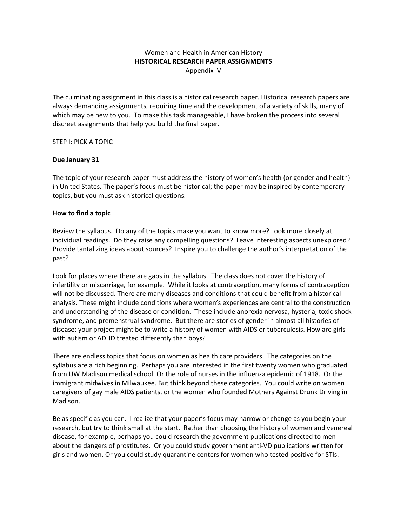#### Women and Health in American History **HISTORICAL RESEARCH PAPER ASSIGNMENTS**  Appendix IV

The culminating assignment in this class is a historical research paper. Historical research papers are always demanding assignments, requiring time and the development of a variety of skills, many of which may be new to you. To make this task manageable, I have broken the process into several discreet assignments that help you build the final paper.

#### STEP I: PICK A TOPIC

#### **Due January 31**

The topic of your research paper must address the history of women's health (or gender and health) in United States. The paper's focus must be historical; the paper may be inspired by contemporary topics, but you must ask historical questions.

#### **How to find a topic**

Review the syllabus. Do any of the topics make you want to know more? Look more closely at individual readings. Do they raise any compelling questions? Leave interesting aspects unexplored? Provide tantalizing ideas about sources? Inspire you to challenge the author's interpretation of the past?

Look for places where there are gaps in the syllabus. The class does not cover the history of infertility or miscarriage, for example. While it looks at contraception, many forms of contraception will not be discussed. There are many diseases and conditions that could benefit from a historical analysis. These might include conditions where women's experiences are central to the construction and understanding of the disease or condition. These include anorexia nervosa, hysteria, toxic shock syndrome, and premenstrual syndrome. But there are stories of gender in almost all histories of disease; your project might be to write a history of women with AIDS or tuberculosis. How are girls with autism or ADHD treated differently than boys?

There are endless topics that focus on women as health care providers. The categories on the syllabus are a rich beginning. Perhaps you are interested in the first twenty women who graduated from UW Madison medical school. Or the role of nurses in the influenza epidemic of 1918. Or the immigrant midwives in Milwaukee. But think beyond these categories. You could write on women caregivers of gay male AIDS patients, or the women who founded Mothers Against Drunk Driving in Madison.

Be as specific as you can. I realize that your paper's focus may narrow or change as you begin your research, but try to think small at the start. Rather than choosing the history of women and venereal disease, for example, perhaps you could research the government publications directed to men about the dangers of prostitutes. Or you could study government anti‐VD publications written for girls and women. Or you could study quarantine centers for women who tested positive for STIs.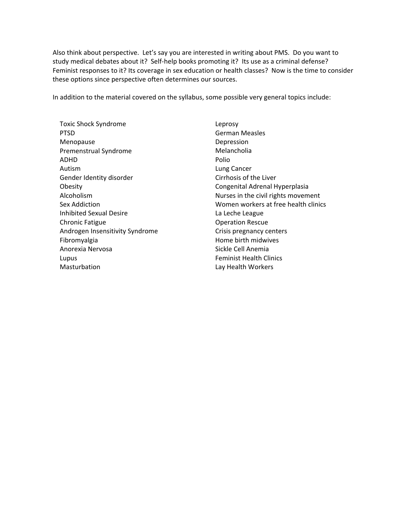Also think about perspective. Let's say you are interested in writing about PMS. Do you want to study medical debates about it? Self-help books promoting it? Its use as a criminal defense? Feminist responses to it? Its coverage in sex education or health classes? Now is the time to consider these options since perspective often determines our sources.

In addition to the material covered on the syllabus, some possible very general topics include:

Toxic Shock Syndrome PTSD Menopause Premenstrual Syndrome ADHD Autism Gender Identity disorder Obesity Alcoholism Sex Addiction Inhibited Sexual Desire Chronic Fatigue Androgen Insensitivity Syndrome Fibromyalgia Anorexia Nervosa Lupus Masturbation

Leprosy German Measles Depression Melancholia Polio Lung Cancer Cirrhosis of the Liver Congenital Adrenal Hyperplasia Nurses in the civil rights movement Women workers at free health clinics La Leche League Operation Rescue Crisis pregnancy centers Home birth midwives Sickle Cell Anemia Feminist Health Clinics Lay Health Workers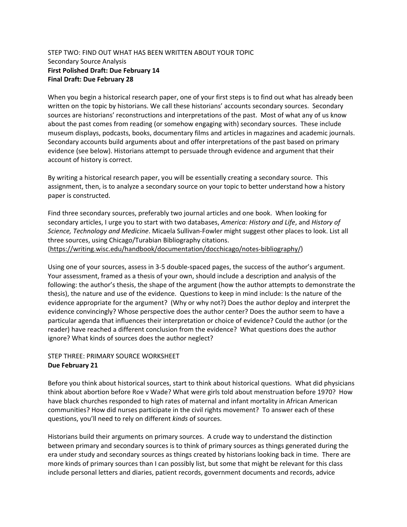#### STEP TWO: FIND OUT WHAT HAS BEEN WRITTEN ABOUT YOUR TOPIC Secondary Source Analysis **First Polished Draft: Due February 14 Final Draft: Due February 28**

When you begin a historical research paper, one of your first steps is to find out what has already been written on the topic by historians. We call these historians' accounts secondary sources. Secondary sources are historians' reconstructions and interpretations of the past. Most of what any of us know about the past comes from reading (or somehow engaging with) secondary sources. These include museum displays, podcasts, books, documentary films and articles in magazines and academic journals. Secondary accounts build arguments about and offer interpretations of the past based on primary evidence (see below). Historians attempt to persuade through evidence and argument that their account of history is correct.

By writing a historical research paper, you will be essentially creating a secondary source. This assignment, then, is to analyze a secondary source on your topic to better understand how a history paper is constructed.

Find three secondary sources, preferably two journal articles and one book. When looking for secondary articles, I urge you to start with two databases, *America: History and Life*, and *History of Science, Technology and Medicine*. Micaela Sullivan‐Fowler might suggest other places to look. List all three sources, using Chicago/Turabian Bibliography citations.

(https://writing.wisc.edu/handbook/documentation/docchicago/notes‐bibliography/)

Using one of your sources, assess in 3‐5 double‐spaced pages, the success of the author's argument. Your assessment, framed as a thesis of your own, should include a description and analysis of the following: the author's thesis, the shape of the argument (how the author attempts to demonstrate the thesis), the nature and use of the evidence. Questions to keep in mind include: Is the nature of the evidence appropriate for the argument? (Why or why not?) Does the author deploy and interpret the evidence convincingly? Whose perspective does the author center? Does the author seem to have a particular agenda that influences their interpretation or choice of evidence? Could the author (or the reader) have reached a different conclusion from the evidence? What questions does the author ignore? What kinds of sources does the author neglect?

# STEP THREE: PRIMARY SOURCE WORKSHEET **Due February 21**

Before you think about historical sources, start to think about historical questions. What did physicians think about abortion before Roe v Wade? What were girls told about menstruation before 1970? How have black churches responded to high rates of maternal and infant mortality in African American communities? How did nurses participate in the civil rights movement? To answer each of these questions, you'll need to rely on different *kinds* of sources.

Historians build their arguments on primary sources. A crude way to understand the distinction between primary and secondary sources is to think of primary sources as things generated during the era under study and secondary sources as things created by historians looking back in time. There are more kinds of primary sources than I can possibly list, but some that might be relevant for this class include personal letters and diaries, patient records, government documents and records, advice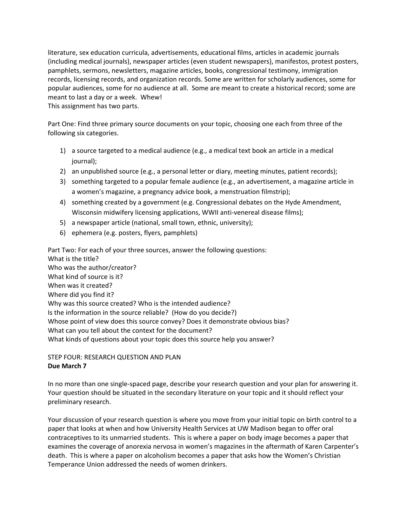literature, sex education curricula, advertisements, educational films, articles in academic journals (including medical journals), newspaper articles (even student newspapers), manifestos, protest posters, pamphlets, sermons, newsletters, magazine articles, books, congressional testimony, immigration records, licensing records, and organization records. Some are written for scholarly audiences, some for popular audiences, some for no audience at all. Some are meant to create a historical record; some are meant to last a day or a week. Whew!

This assignment has two parts.

Part One: Find three primary source documents on your topic, choosing one each from three of the following six categories.

- 1) a source targeted to a medical audience (e.g., a medical text book an article in a medical journal);
- 2) an unpublished source (e.g., a personal letter or diary, meeting minutes, patient records);
- 3) something targeted to a popular female audience (e.g., an advertisement, a magazine article in a women's magazine, a pregnancy advice book, a menstruation filmstrip);
- 4) something created by a government (e.g. Congressional debates on the Hyde Amendment, Wisconsin midwifery licensing applications, WWII anti-venereal disease films);
- 5) a newspaper article (national, small town, ethnic, university);
- 6) ephemera (e.g. posters, flyers, pamphlets)

Part Two: For each of your three sources, answer the following questions: What is the title? Who was the author/creator? What kind of source is it? When was it created? Where did you find it? Why was this source created? Who is the intended audience? Is the information in the source reliable? (How do you decide?) Whose point of view does this source convey? Does it demonstrate obvious bias? What can you tell about the context for the document? What kinds of questions about your topic does this source help you answer?

STEP FOUR: RESEARCH QUESTION AND PLAN **Due March 7** 

In no more than one single‐spaced page, describe your research question and your plan for answering it. Your question should be situated in the secondary literature on your topic and it should reflect your preliminary research.

Your discussion of your research question is where you move from your initial topic on birth control to a paper that looks at when and how University Health Services at UW Madison began to offer oral contraceptives to its unmarried students. This is where a paper on body image becomes a paper that examines the coverage of anorexia nervosa in women's magazines in the aftermath of Karen Carpenter's death. This is where a paper on alcoholism becomes a paper that asks how the Women's Christian Temperance Union addressed the needs of women drinkers.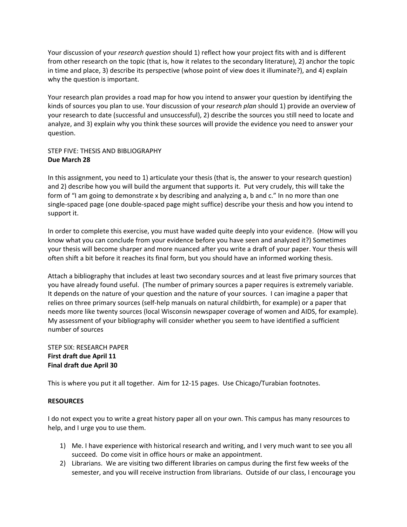Your discussion of your *research question* should 1) reflect how your project fits with and is different from other research on the topic (that is, how it relates to the secondary literature), 2) anchor the topic in time and place, 3) describe its perspective (whose point of view does it illuminate?), and 4) explain why the question is important.

Your research plan provides a road map for how you intend to answer your question by identifying the kinds of sources you plan to use. Your discussion of your *research plan* should 1) provide an overview of your research to date (successful and unsuccessful), 2) describe the sources you still need to locate and analyze, and 3) explain why you think these sources will provide the evidence you need to answer your question.

# STEP FIVE: THESIS AND BIBLIOGRAPHY **Due March 28**

In this assignment, you need to 1) articulate your thesis (that is, the answer to your research question) and 2) describe how you will build the argument that supports it. Put very crudely, this will take the form of "I am going to demonstrate x by describing and analyzing a, b and c." In no more than one single‐spaced page (one double‐spaced page might suffice) describe your thesis and how you intend to support it.

In order to complete this exercise, you must have waded quite deeply into your evidence. (How will you know what you can conclude from your evidence before you have seen and analyzed it?) Sometimes your thesis will become sharper and more nuanced after you write a draft of your paper. Your thesis will often shift a bit before it reaches its final form, but you should have an informed working thesis.

Attach a bibliography that includes at least two secondary sources and at least five primary sources that you have already found useful. (The number of primary sources a paper requires is extremely variable. It depends on the nature of your question and the nature of your sources. I can imagine a paper that relies on three primary sources (self‐help manuals on natural childbirth, for example) or a paper that needs more like twenty sources (local Wisconsin newspaper coverage of women and AIDS, for example). My assessment of your bibliography will consider whether you seem to have identified a sufficient number of sources

#### STEP SIX: RESEARCH PAPER **First draft due April 11 Final draft due April 30**

This is where you put it all together. Aim for 12‐15 pages. Use Chicago/Turabian footnotes.

### **RESOURCES**

I do not expect you to write a great history paper all on your own. This campus has many resources to help, and I urge you to use them.

- 1) Me. I have experience with historical research and writing, and I very much want to see you all succeed. Do come visit in office hours or make an appointment.
- 2) Librarians. We are visiting two different libraries on campus during the first few weeks of the semester, and you will receive instruction from librarians. Outside of our class, I encourage you